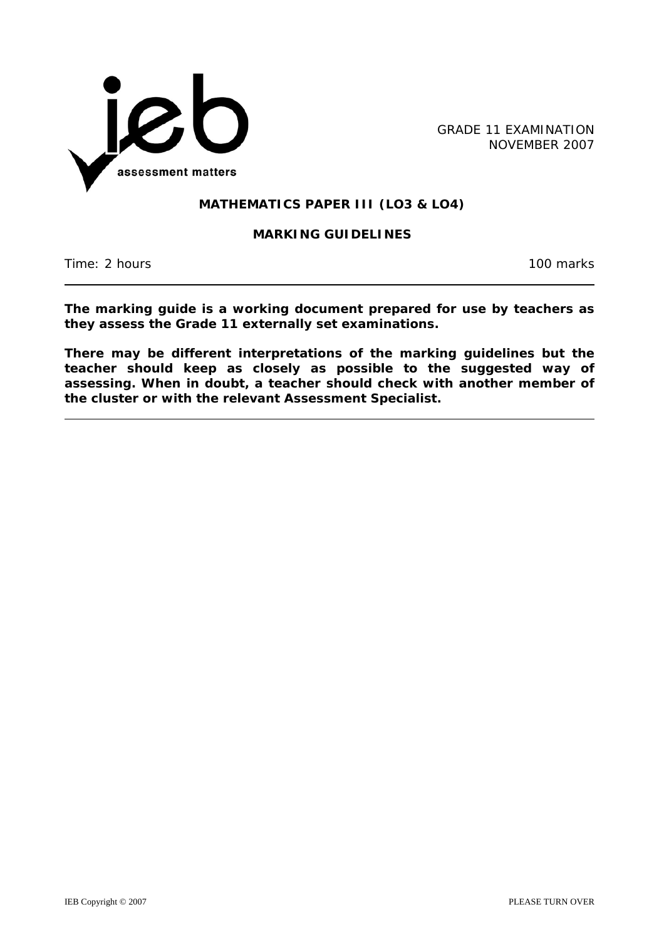

GRADE 11 EXAMINATION NOVEMBER 2007

### **MATHEMATICS PAPER III (LO3 & LO4)**

#### **MARKING GUIDELINES**

Time: 2 hours 100 marks

**The marking guide is a working document prepared for use by teachers as they assess the Grade 11 externally set examinations.** 

**There may be different interpretations of the marking guidelines but the teacher should keep as closely as possible to the suggested way of assessing. When in doubt, a teacher should check with another member of the cluster or with the relevant Assessment Specialist.**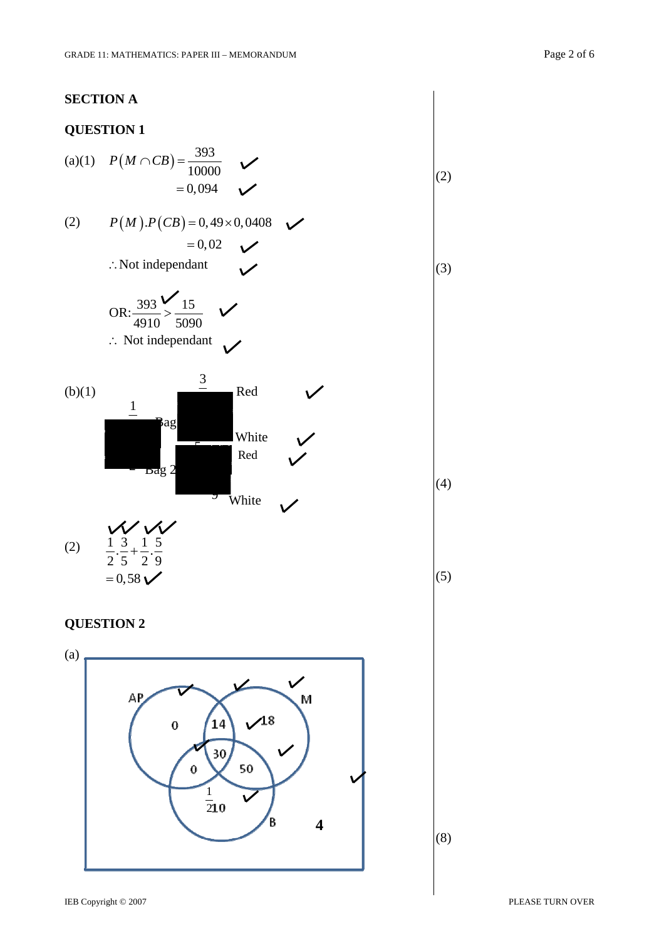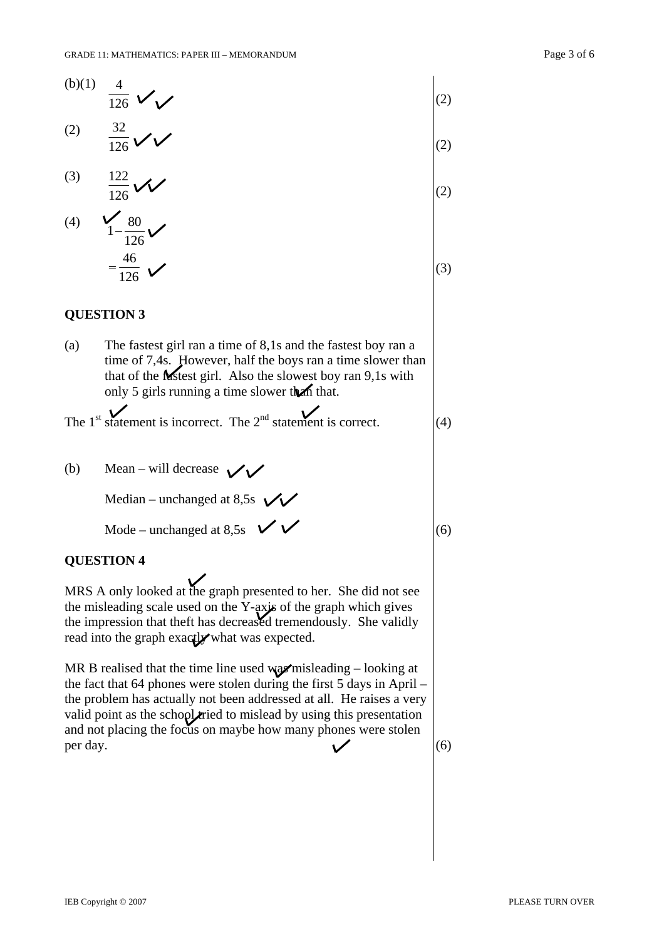|                                                                                                                                                                                                                                                                                                                                                                                                 | (2) |
|-------------------------------------------------------------------------------------------------------------------------------------------------------------------------------------------------------------------------------------------------------------------------------------------------------------------------------------------------------------------------------------------------|-----|
| (b)(1) $\frac{4}{126}$<br>(2) $\frac{32}{126}$<br>(3) $\frac{122}{126}$<br>(3)                                                                                                                                                                                                                                                                                                                  | (2) |
|                                                                                                                                                                                                                                                                                                                                                                                                 | (2) |
| (4) $\frac{1}{1-\frac{80}{126}}$<br>$=\frac{46}{126}$ $\checkmark$                                                                                                                                                                                                                                                                                                                              | (3) |
| <b>QUESTION 3</b>                                                                                                                                                                                                                                                                                                                                                                               |     |
| (a)<br>The fastest girl ran a time of 8,1s and the fastest boy ran a<br>time of 7,4s. However, half the boys ran a time slower than<br>that of the Mistest girl. Also the slowest boy ran 9,1s with<br>only 5 girls running a time slower than that.                                                                                                                                            |     |
| The 1 <sup>st</sup> statement is incorrect. The $2nd$ statement is correct.                                                                                                                                                                                                                                                                                                                     | (4) |
| Mean – will decrease $\vee$<br>(b)                                                                                                                                                                                                                                                                                                                                                              |     |
| Median – unchanged at 8,5s $\sqrt{\sqrt{ }}$                                                                                                                                                                                                                                                                                                                                                    |     |
| Mode – unchanged at 8,5s $\vee$                                                                                                                                                                                                                                                                                                                                                                 | (6) |
| <b>QUESTION 4</b>                                                                                                                                                                                                                                                                                                                                                                               |     |
| MRS A only looked at the graph presented to her. She did not see<br>the misleading scale used on the Y-axis of the graph which gives<br>the impression that theft has decreased tremendously. She validly<br>read into the graph exactly what was expected.                                                                                                                                     |     |
| MR B realised that the time line used $\mathbf{w}_2\mathbf{w}'$ misleading - looking at<br>the fact that 64 phones were stolen during the first 5 days in April –<br>the problem has actually not been addressed at all. He raises a very<br>valid point as the school ried to mislead by using this presentation<br>and not placing the focus on maybe how many phones were stolen<br>per day. | (6) |
|                                                                                                                                                                                                                                                                                                                                                                                                 |     |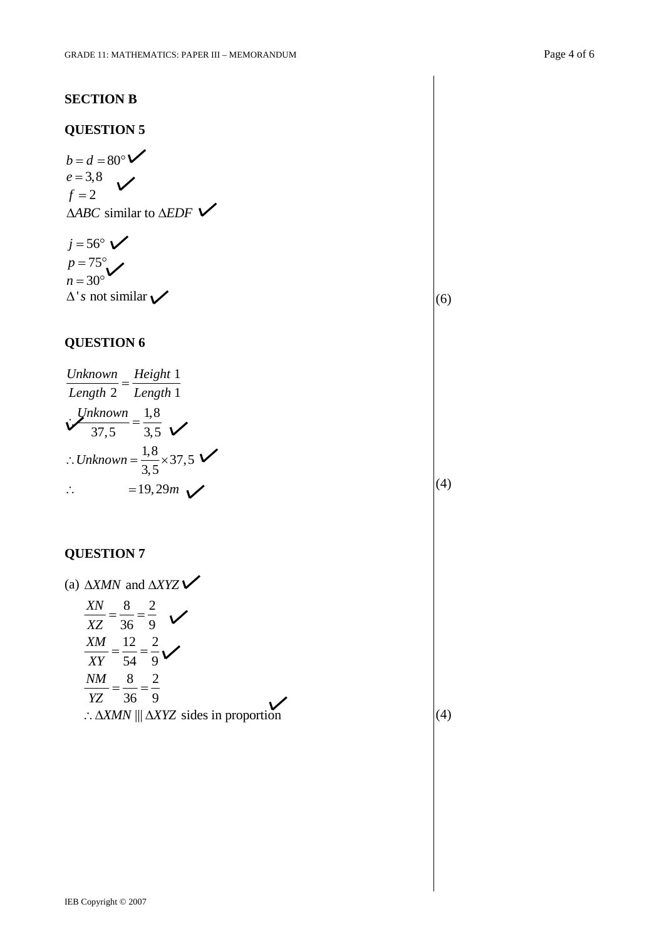# **QUESTION 5**

$$
b = d = 80^{\circ} \checkmark
$$
  
\n
$$
e = 3.8 \checkmark
$$
  
\n
$$
f = 2
$$
  
\n
$$
\triangle ABC \text{ similar to } \triangle EDF \checkmark
$$

 $j = 56^\circ \checkmark$  $p = 75^{\circ}$  $n = 30^{\circ}$  $\Delta$ 's not similar  $\checkmark$ 

### **QUESTION 6**

| Unknown                                   | Height 1   |
|-------------------------------------------|------------|
| $Length 2$                                | $Length 1$ |
| $Unknown = \frac{1,8}{3,5}$               |            |
| $∴ Unknown = \frac{1,8}{3,5} \times 37,5$ |            |
| $∴ Unknown = 19,29m$                      |            |

### **QUESTION 7**

(a) 
$$
\triangle XMN
$$
 and  $\triangle XYZ \blacktriangleright$   
\n
$$
\frac{XN}{XZ} = \frac{8}{36} = \frac{2}{9}
$$
\n
$$
\frac{XM}{XY} = \frac{12}{54} = \frac{2}{9}
$$
\n
$$
\frac{NM}{YZ} = \frac{8}{36} = \frac{2}{9}
$$
\n
$$
\therefore \triangle XMN \parallel \triangle XYZ \text{ sides in proportion}
$$

(4)

(6)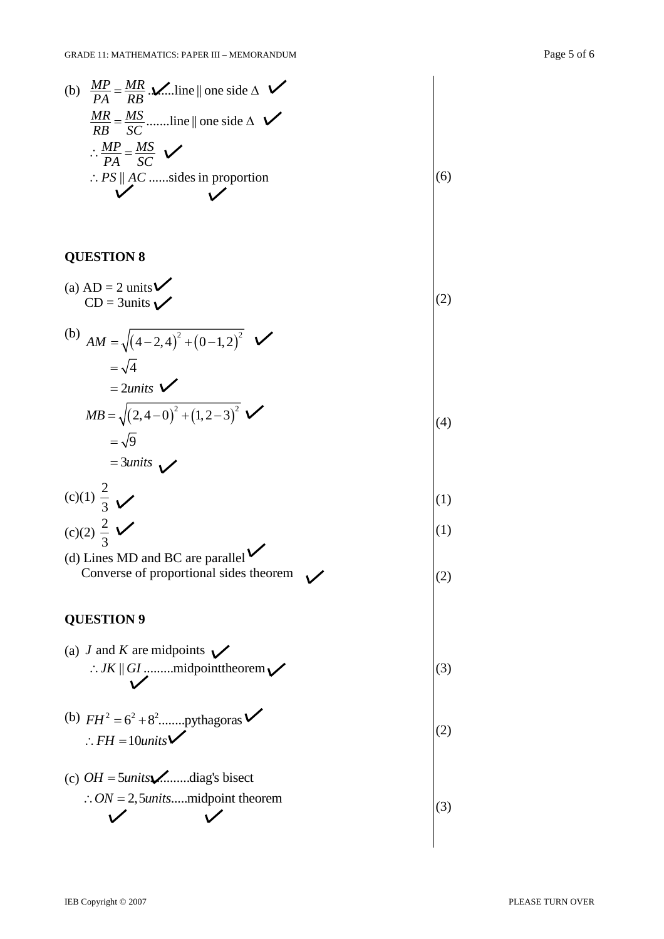(6)

(2)

 $(4)$ 

(3)

(b) 
$$
\frac{MP}{PA} = \frac{MR}{RB} \cdot \frac{M}{MB}
$$
 [one side  $\triangle$    
\n $\frac{MR}{RB} = \frac{MS}{SC}$  .......line || one side  $\triangle$    
\n $\therefore \frac{MP}{PA} = \frac{MS}{SC}$    
\n $\therefore PS \parallel AC$  .......sides in proportion

# **QUESTION 8**

(a) AD = 2 units 
$$
\sqrt{\phantom{0}}
$$
  
CD = 3 units  $\sqrt{\phantom{0}}$ 

(b) 
$$
AM = \sqrt{(4-2,4)^2 + (0-1,2)^2} \quad \checkmark
$$
  
=  $\sqrt{4}$   
= 2 units  

$$
MB = \sqrt{(2,4-0)^2 + (1,2-3)^2} \quad \checkmark
$$
  
=  $\sqrt{9}$ 

$$
=\frac{3 units}{2}
$$

(c)(1) 
$$
\frac{2}{3}
$$
   
\n(c)(2)  $\frac{2}{3}$    
\n(d)(1)  
\n(e)(2)  $\frac{2}{3}$ 

(d) Lines MD and BC are parallel  
Converse of proportional sides theorem\n
$$
(2)
$$

# **QUESTION 9**

(a) *J* and *K* are midpoints 
$$
\bigvee
$$
  $\therefore$  *JK*  $\parallel$  *GI*  $\parallel$  *GI*  $\parallel$  *II*  $\parallel$  *II*  $\parallel$  *II*  $\parallel$  *II*  $\parallel$  *II*  $\parallel$  *II*  $\parallel$  *II*  $\parallel$  *II*  $\parallel$  *II*  $\parallel$  *II*  $\parallel$  *II*  $\parallel$  *II*  $\parallel$  *II*  $\parallel$  *II*  $\parallel$  *II*  $\parallel$  *II*  $\parallel$  *II*  $\parallel$  *II*  $\parallel$  *II*  $\parallel$  *II*  $\parallel$  *II*  $\parallel$  *II*  $\parallel$  *II*  $\parallel$  *II*  $\parallel$  *II*  $\parallel$  *II*  $\parallel$  *II*  $\parallel$  *II*  $\parallel$  *II*  $\parallel$  *II*  $\parallel$  *II*  $\parallel$  *II*  $\parallel$  *II*  $\parallel$  *II*  $\parallel$  *II*  $\parallel$  *II*  $\parallel$  *II*  $\parallel$  *II*  $\parallel$  *II*  $\parallel$  *II*  $$ 

(b) 
$$
FH^2 = 6^2 + 8^2
$$
........pythagoras   
\n
$$
\therefore FH = 10 units
$$
 (2)

(c) 
$$
OH = 5 units
$$
...diag's bisect  
\n $\therefore ON = 2, 5 units$ ...midpoint theorem